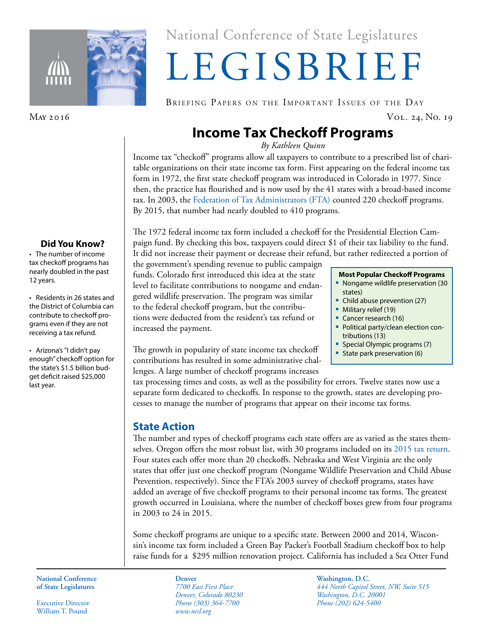

#### **Did You Know?**

• The number of income tax checkoff programs has nearly doubled in the past 12 years.

• Residents in 26 states and the District of Columbia can contribute to checkoff programs even if they are not receiving a tax refund.

• Arizona's "I didn't pay enough" checkoff option for the state's \$1.5 billion budget deficit raised \$25,000 last year.

# National Conference of State Legislatures National Conference of State Legislatures

# LEGISBRIEF LEGISBRIEF

BRIEFING PAPERS ON THE IMPORTANT ISSUES OF THE DAY

May 2016 Vol. 24, No. 19

## **Income Tax Checkoff Programs**

*By Kathleen Quinn*

Income tax "checkoff" programs allow all taxpayers to contribute to a prescribed list of charitable organizations on their state income tax form. First appearing on the federal income tax form in 1972, the first state checkoff program was introduced in Colorado in 1977. Since then, the practice has flourished and is now used by the 41 states with a broad-based income tax. In 2003, the [Federation of Tax Administrators \(FTA\)](http://www.taxadmin.org/check-off-programs-see-strong-growth---2003) counted 220 checkoff programs. By 2015, that number had nearly doubled to 410 programs.

The 1972 federal income tax form included a checkoff for the Presidential Election Campaign fund. By checking this box, taxpayers could direct \$1 of their tax liability to the fund. It did not increase their payment or decrease their refund, but rather redirected a portion of

the government's spending revenue to public campaign funds. Colorado first introduced this idea at the state level to facilitate contributions to nongame and endangered wildlife preservation. The program was similar to the federal checkoff program, but the contributions were deducted from the resident's tax refund or increased the payment.

The growth in popularity of state income tax checkoff contributions has resulted in some administrative challenges. A large number of checkoff programs increases

tax processing times and costs, as well as the possibility for errors. Twelve states now use a separate form dedicated to checkoffs. In response to the growth, states are developing processes to manage the number of programs that appear on their income tax forms.

## **State Action**

The number and types of checkoff programs each state offers are as varied as the states themselves. Oregon offers the most robust list, with 30 programs included on its [2015 tax return.](https://www.oregon.gov/DOR/forms/FormsPubs/schedule_d_101-058.pdf) Four states each offer more than 20 checkoffs. Nebraska and West Virginia are the only states that offer just one checkoff program (Nongame Wildlife Preservation and Child Abuse Prevention, respectively). Since the FTA's 2003 survey of checkoff programs, states have added an average of five checkoff programs to their personal income tax forms. The greatest growth occurred in Louisiana, where the number of checkoff boxes grew from four programs in 2003 to 24 in 2015.

Some checkoff programs are unique to a specific state. Between 2000 and 2014, Wisconsin's income tax form included a Green Bay Packer's Football Stadium checkoff box to help raise funds for a \$295 million renovation project. California has included a Sea Otter Fund

**National Conference National Conference of State Legislatures of State Legislatures**

Executive Director Executive Director William T. Pound William T. Pound

*7700 East First Place 7700 East First Place Denver, Colorado 80230 Denver, Colorado 80230 Phone (303) 364-7700 Phone (303) 364-7700 www.ncsl.org www.ncsl.org* **Denver**

**Washington, D.C. Washington, D.C.** *444 North Capitol Street, NW, Suite 515 444 North Capitol Street, NW, Suite 515 Washington, D.C. 20001 Washington, D.C. 20001 Phone (202) 624-5400 Phone (202) 624-5400*

#### **Most Popular Checkoff Programs**

- **Nongame wildlife preservation (30** states)
- **Child abuse prevention (27)**
- **Military relief (19)**
- Cancer research (16)
- **Political party/clean election con**tributions (13)
- **Special Olympic programs (7)**
- State park preservation  $(6)$